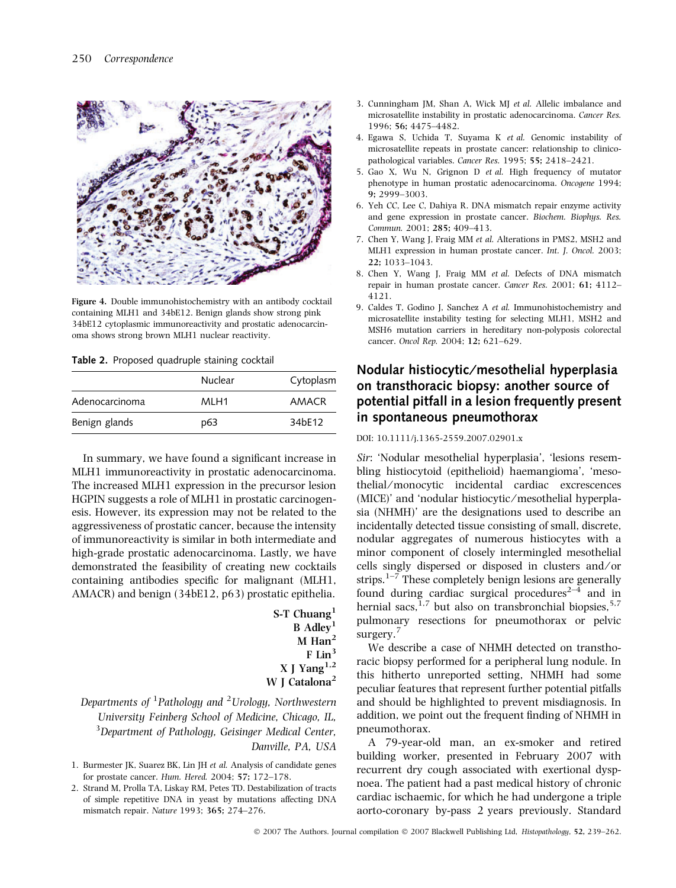

Figure 4. Double immunohistochemistry with an antibody cocktail containing MLH1 and 34bE12. Benign glands show strong pink 34bE12 cytoplasmic immunoreactivity and prostatic adenocarcinoma shows strong brown MLH1 nuclear reactivity.

Table 2. Proposed quadruple staining cocktail

|                | Nuclear | Cytoplasm |
|----------------|---------|-----------|
| Adenocarcinoma | MLH1    | AMACR     |
| Benign glands  | p63     | 34bE12    |

In summary, we have found a significant increase in MLH1 immunoreactivity in prostatic adenocarcinoma. The increased MLH1 expression in the precursor lesion HGPIN suggests a role of MLH1 in prostatic carcinogenesis. However, its expression may not be related to the aggressiveness of prostatic cancer, because the intensity of immunoreactivity is similar in both intermediate and high-grade prostatic adenocarcinoma. Lastly, we have demonstrated the feasibility of creating new cocktails containing antibodies specific for malignant (MLH1, AMACR) and benign (34bE12, p63) prostatic epithelia.

| S-T Chuang <sup>1</sup>   |
|---------------------------|
| B Adley <sup>1</sup>      |
| $M$ Han <sup>2</sup>      |
| $F$ Lin <sup>3</sup>      |
| X J Yang $^{1,2}$         |
| W J Catalona <sup>2</sup> |

## Departments of  $^1$ Pathology and  $^2$ Urology, Northwestern University Feinberg School of Medicine, Chicago, IL, <sup>3</sup>Department of Pathology, Geisinger Medical Center, Danville, PA, USA

- 1. Burmester JK, Suarez BK, Lin JH et al. Analysis of candidate genes for prostate cancer. Hum. Hered. 2004; 57; 172–178.
- 2. Strand M, Prolla TA, Liskay RM, Petes TD. Destabilization of tracts of simple repetitive DNA in yeast by mutations affecting DNA mismatch repair. Nature 1993; 365; 274–276.
- 3. Cunningham JM, Shan A, Wick MJ et al. Allelic imbalance and microsatellite instability in prostatic adenocarcinoma. Cancer Res. 1996; 56; 4475–4482.
- 4. Egawa S, Uchida T, Suyama K et al. Genomic instability of microsatellite repeats in prostate cancer: relationship to clinicopathological variables. Cancer Res. 1995; 55; 2418–2421.
- 5. Gao X, Wu N, Grignon D et al. High frequency of mutator phenotype in human prostatic adenocarcinoma. Oncogene 1994; 9; 2999–3003.
- 6. Yeh CC, Lee C, Dahiya R. DNA mismatch repair enzyme activity and gene expression in prostate cancer. Biochem. Biophys. Res. Commun. 2001; 285; 409–413.
- 7. Chen Y, Wang J, Fraig MM et al. Alterations in PMS2, MSH2 and MLH1 expression in human prostate cancer. Int. J. Oncol. 2003; 22; 1033–1043.
- 8. Chen Y, Wang J, Fraig MM et al. Defects of DNA mismatch repair in human prostate cancer. Cancer Res. 2001; 61; 4112– 4121.
- 9. Caldes T, Godino J, Sanchez A et al. Immunohistochemistry and microsatellite instability testing for selecting MLH1, MSH2 and MSH6 mutation carriers in hereditary non-polyposis colorectal cancer. Oncol Rep. 2004; 12; 621–629.

## Nodular histiocytic/mesothelial hyperplasia on transthoracic biopsy: another source of potential pitfall in a lesion frequently present in spontaneous pneumothorax

DOI: 10.1111/j.1365-2559.2007.02901.x

Sir: 'Nodular mesothelial hyperplasia', 'lesions resembling histiocytoid (epithelioid) haemangioma', 'mesothelial/monocytic incidental cardiac excrescences (MICE)' and 'nodular histiocytic ⁄ mesothelial hyperplasia (NHMH)' are the designations used to describe an incidentally detected tissue consisting of small, discrete, nodular aggregates of numerous histiocytes with a minor component of closely intermingled mesothelial cells singly dispersed or disposed in clusters and ⁄ or strips.<sup>1–7</sup> These completely benign lesions are generally found during cardiac surgical procedures<sup> $2-\overline{4}$ </sup> and in hernial sacs, $1,7$  but also on transbronchial biopsies, $5,7$ pulmonary resections for pneumothorax or pelvic surgery.<sup>7</sup>

We describe a case of NHMH detected on transthoracic biopsy performed for a peripheral lung nodule. In this hitherto unreported setting, NHMH had some peculiar features that represent further potential pitfalls and should be highlighted to prevent misdiagnosis. In addition, we point out the frequent finding of NHMH in pneumothorax.

A 79-year-old man, an ex-smoker and retired building worker, presented in February 2007 with recurrent dry cough associated with exertional dyspnoea. The patient had a past medical history of chronic cardiac ischaemic, for which he had undergone a triple aorto-coronary by-pass 2 years previously. Standard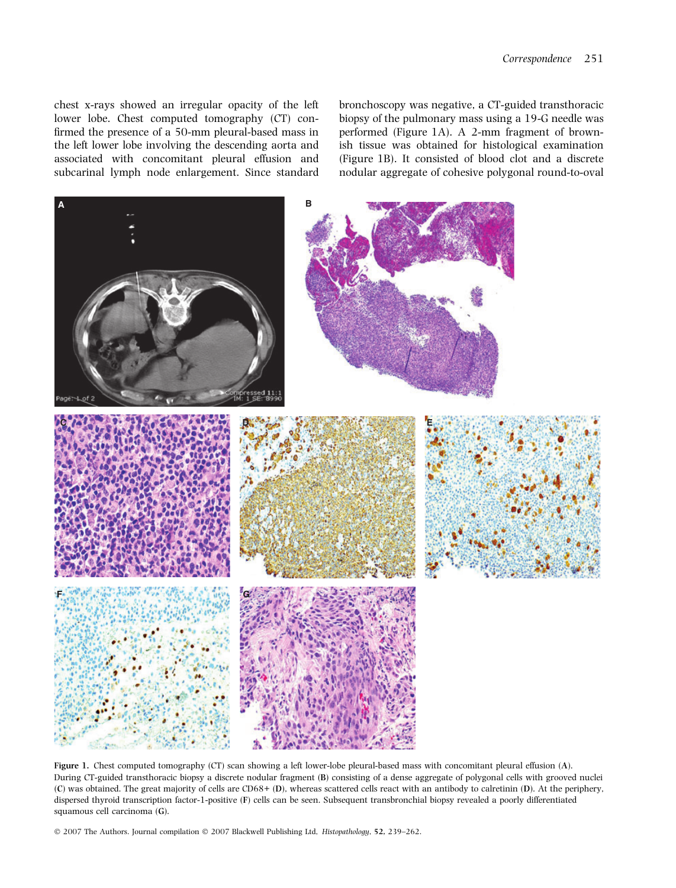chest x-rays showed an irregular opacity of the left lower lobe. Chest computed tomography (CT) confirmed the presence of a 50-mm pleural-based mass in the left lower lobe involving the descending aorta and associated with concomitant pleural effusion and subcarinal lymph node enlargement. Since standard bronchoscopy was negative, a CT-guided transthoracic biopsy of the pulmonary mass using a 19-G needle was performed (Figure 1A). A 2-mm fragment of brownish tissue was obtained for histological examination (Figure 1B). It consisted of blood clot and a discrete nodular aggregate of cohesive polygonal round-to-oval



Figure 1. Chest computed tomography (CT) scan showing a left lower-lobe pleural-based mass with concomitant pleural effusion (A). During CT-guided transthoracic biopsy a discrete nodular fragment (B) consisting of a dense aggregate of polygonal cells with grooved nuclei (C) was obtained. The great majority of cells are CD68+ (D), whereas scattered cells react with an antibody to calretinin (D). At the periphery, dispersed thyroid transcription factor-1-positive (F) cells can be seen. Subsequent transbronchial biopsy revealed a poorly differentiated squamous cell carcinoma (G).

© 2007 The Authors. Journal compilation © 2007 Blackwell Publishing Ltd, Histopathology, 52, 239-262.